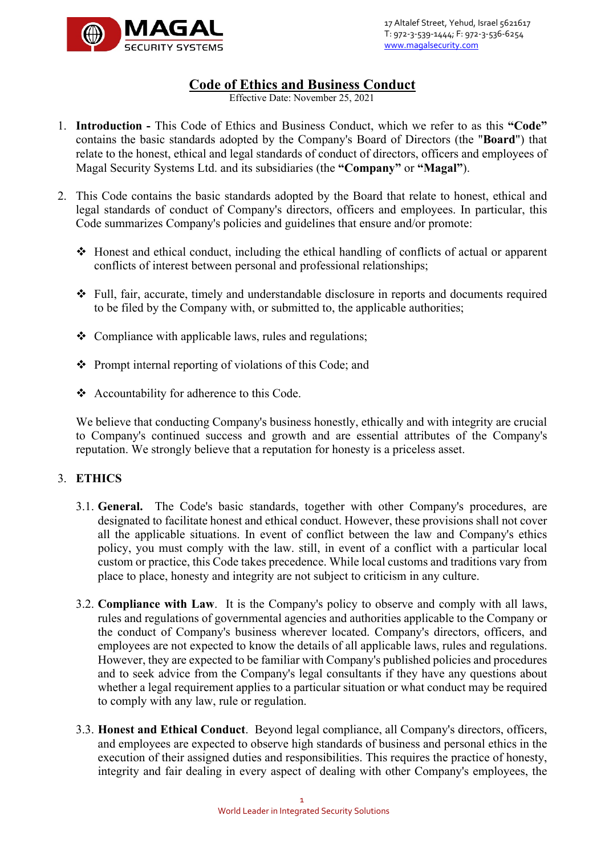

# **Code of Ethics and Business Conduct**<br>Effective Date: November 25, 2021

- 1. **Introduction** This Code of Ethics and Business Conduct, which we refer to as this **"Code"** contains the basic standards adopted by the Company's Board of Directors (the "**Board**") that relate to the honest, ethical and legal standards of conduct of directors, officers and employees of Magal Security Systems Ltd. and its subsidiaries (the **"Company"** or **"Magal"**).
- 2. This Code contains the basic standards adopted by the Board that relate to honest, ethical and legal standards of conduct of Company's directors, officers and employees. In particular, this Code summarizes Company's policies and guidelines that ensure and/or promote:
	- Honest and ethical conduct, including the ethical handling of conflicts of actual or apparent conflicts of interest between personal and professional relationships;
	- Full, fair, accurate, timely and understandable disclosure in reports and documents required to be filed by the Company with, or submitted to, the applicable authorities;
	- ❖ Compliance with applicable laws, rules and regulations;
	- Prompt internal reporting of violations of this Code; and
	- Accountability for adherence to this Code.

We believe that conducting Company's business honestly, ethically and with integrity are crucial to Company's continued success and growth and are essential attributes of the Company's reputation. We strongly believe that a reputation for honesty is a priceless asset.

## 3. **ETHICS**

- 3.1. **General.** The Code's basic standards, together with other Company's procedures, are designated to facilitate honest and ethical conduct. However, these provisions shall not cover all the applicable situations. In event of conflict between the law and Company's ethics policy, you must comply with the law. still, in event of a conflict with a particular local custom or practice, this Code takes precedence. While local customs and traditions vary from place to place, honesty and integrity are not subject to criticism in any culture.
- 3.2. **Compliance with Law**. It is the Company's policy to observe and comply with all laws, rules and regulations of governmental agencies and authorities applicable to the Company or the conduct of Company's business wherever located. Company's directors, officers, and employees are not expected to know the details of all applicable laws, rules and regulations. However, they are expected to be familiar with Company's published policies and procedures and to seek advice from the Company's legal consultants if they have any questions about whether a legal requirement applies to a particular situation or what conduct may be required to comply with any law, rule or regulation.
- 3.3. **Honest and Ethical Conduct**. Beyond legal compliance, all Company's directors, officers, and employees are expected to observe high standards of business and personal ethics in the execution of their assigned duties and responsibilities. This requires the practice of honesty, integrity and fair dealing in every aspect of dealing with other Company's employees, the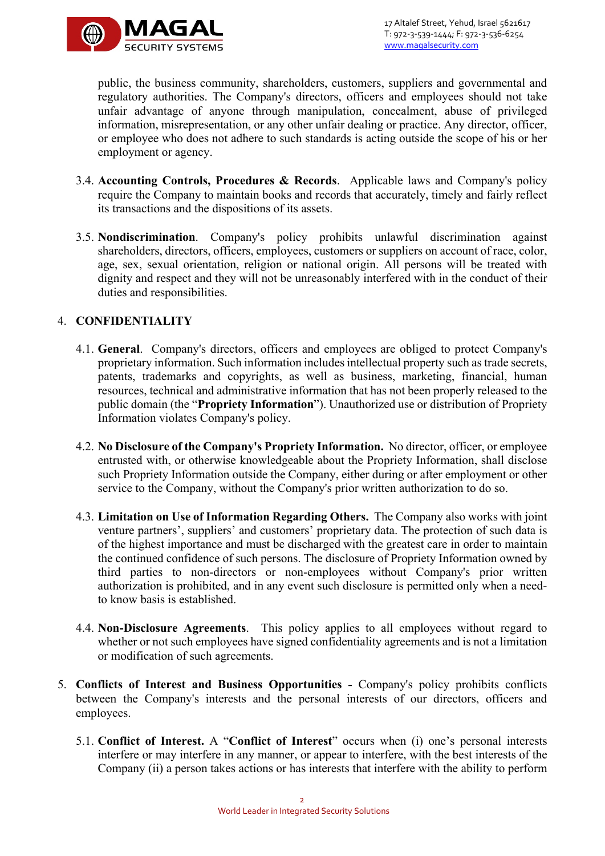

public, the business community, shareholders, customers, suppliers and governmental and regulatory authorities. The Company's directors, officers and employees should not take unfair advantage of anyone through manipulation, concealment, abuse of privileged information, misrepresentation, or any other unfair dealing or practice. Any director, officer, or employee who does not adhere to such standards is acting outside the scope of his or her employment or agency.

- 3.4. **Accounting Controls, Procedures & Records**. Applicable laws and Company's policy require the Company to maintain books and records that accurately, timely and fairly reflect its transactions and the dispositions of its assets.
- 3.5. **Nondiscrimination**. Company's policy prohibits unlawful discrimination against shareholders, directors, officers, employees, customers or suppliers on account of race, color, age, sex, sexual orientation, religion or national origin. All persons will be treated with dignity and respect and they will not be unreasonably interfered with in the conduct of their duties and responsibilities.

#### 4. **CONFIDENTIALITY**

- 4.1. **General**. Company's directors, officers and employees are obliged to protect Company's proprietary information. Such information includes intellectual property such as trade secrets, patents, trademarks and copyrights, as well as business, marketing, financial, human resources, technical and administrative information that has not been properly released to the public domain (the "**Propriety Information**"). Unauthorized use or distribution of Propriety Information violates Company's policy.
- 4.2. **No Disclosure of the Company's Propriety Information.** No director, officer, or employee entrusted with, or otherwise knowledgeable about the Propriety Information, shall disclose such Propriety Information outside the Company, either during or after employment or other service to the Company, without the Company's prior written authorization to do so.
- 4.3. **Limitation on Use of Information Regarding Others.** The Company also works with joint venture partners', suppliers' and customers' proprietary data. The protection of such data is of the highest importance and must be discharged with the greatest care in order to maintain the continued confidence of such persons. The disclosure of Propriety Information owned by third parties to non-directors or non-employees without Company's prior written authorization is prohibited, and in any event such disclosure is permitted only when a needto know basis is established.
- 4.4. **Non-Disclosure Agreements**. This policy applies to all employees without regard to whether or not such employees have signed confidentiality agreements and is not a limitation or modification of such agreements.
- 5. **Conflicts of Interest and Business Opportunities** Company's policy prohibits conflicts between the Company's interests and the personal interests of our directors, officers and employees.
	- 5.1. **Conflict of Interest.** A "**Conflict of Interest**" occurs when (i) one's personal interests interfere or may interfere in any manner, or appear to interfere, with the best interests of the Company (ii) a person takes actions or has interests that interfere with the ability to perform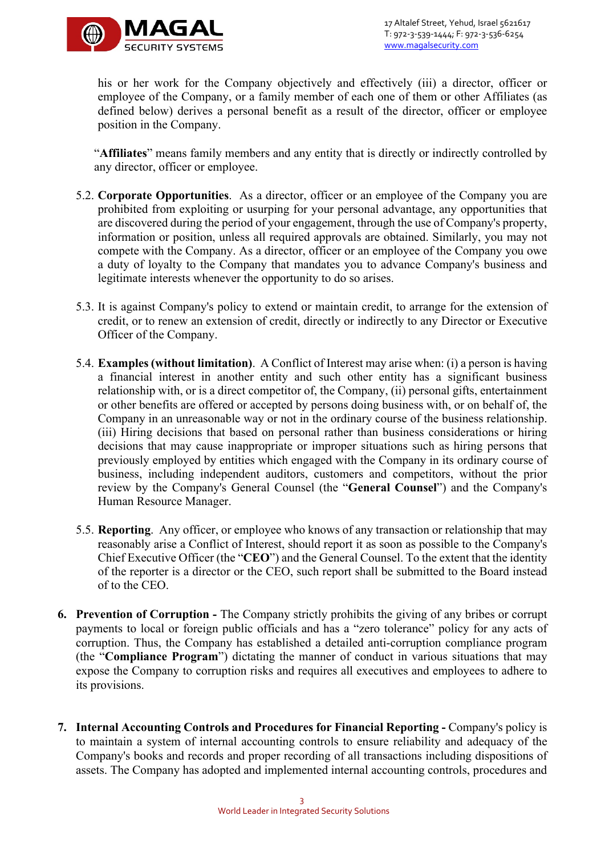

his or her work for the Company objectively and effectively (iii) a director, officer or employee of the Company, or a family member of each one of them or other Affiliates (as defined below) derives a personal benefit as a result of the director, officer or employee position in the Company.

"**Affiliates**" means family members and any entity that is directly or indirectly controlled by any director, officer or employee.

- 5.2. **Corporate Opportunities**.As a director, officer or an employee of the Company you are prohibited from exploiting or usurping for your personal advantage, any opportunities that are discovered during the period of your engagement, through the use of Company's property, information or position, unless all required approvals are obtained. Similarly, you may not compete with the Company. As a director, officer or an employee of the Company you owe a duty of loyalty to the Company that mandates you to advance Company's business and legitimate interests whenever the opportunity to do so arises.
- 5.3. It is against Company's policy to extend or maintain credit, to arrange for the extension of credit, or to renew an extension of credit, directly or indirectly to any Director or Executive Officer of the Company.
- 5.4. **Examples (without limitation)**. A Conflict of Interest may arise when: (i) a person is having a financial interest in another entity and such other entity has a significant business relationship with, or is a direct competitor of, the Company, (ii) personal gifts, entertainment or other benefits are offered or accepted by persons doing business with, or on behalf of, the Company in an unreasonable way or not in the ordinary course of the business relationship. (iii) Hiring decisions that based on personal rather than business considerations or hiring decisions that may cause inappropriate or improper situations such as hiring persons that previously employed by entities which engaged with the Company in its ordinary course of business, including independent auditors, customers and competitors, without the prior review by the Company's General Counsel (the "**General Counsel**") and the Company's Human Resource Manager.
- 5.5. **Reporting**. Any officer, or employee who knows of any transaction or relationship that may reasonably arise a Conflict of Interest, should report it as soon as possible to the Company's Chief Executive Officer (the "**CEO**") and the General Counsel. To the extent that the identity of the reporter is a director or the CEO, such report shall be submitted to the Board instead of to the CEO.
- **6. Prevention of Corruption** The Company strictly prohibits the giving of any bribes or corrupt payments to local or foreign public officials and has a "zero tolerance" policy for any acts of corruption. Thus, the Company has established a detailed anti-corruption compliance program (the "**Compliance Program**") dictating the manner of conduct in various situations that may expose the Company to corruption risks and requires all executives and employees to adhere to its provisions.
- **7. Internal Accounting Controls and Procedures for Financial Reporting** Company's policy is to maintain a system of internal accounting controls to ensure reliability and adequacy of the Company's books and records and proper recording of all transactions including dispositions of assets. The Company has adopted and implemented internal accounting controls, procedures and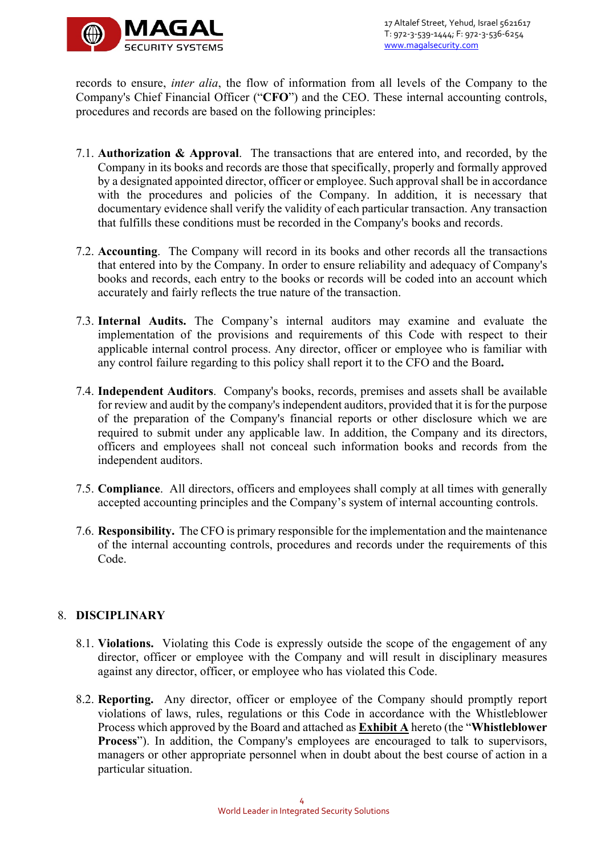

records to ensure, *inter alia*, the flow of information from all levels of the Company to the Company's Chief Financial Officer ("**CFO**") and the CEO. These internal accounting controls, procedures and records are based on the following principles:

- 7.1. **Authorization & Approval**. The transactions that are entered into, and recorded, by the Company in its books and records are those that specifically, properly and formally approved by a designated appointed director, officer or employee. Such approval shall be in accordance with the procedures and policies of the Company. In addition, it is necessary that documentary evidence shall verify the validity of each particular transaction. Any transaction that fulfills these conditions must be recorded in the Company's books and records.
- 7.2. **Accounting**. The Company will record in its books and other records all the transactions that entered into by the Company. In order to ensure reliability and adequacy of Company's books and records, each entry to the books or records will be coded into an account which accurately and fairly reflects the true nature of the transaction.
- 7.3. **Internal Audits.** The Company's internal auditors may examine and evaluate the implementation of the provisions and requirements of this Code with respect to their applicable internal control process. Any director, officer or employee who is familiar with any control failure regarding to this policy shall report it to the CFO and the Board**.**
- 7.4. **Independent Auditors**. Company's books, records, premises and assets shall be available for review and audit by the company's independent auditors, provided that it is for the purpose of the preparation of the Company's financial reports or other disclosure which we are required to submit under any applicable law. In addition, the Company and its directors, officers and employees shall not conceal such information books and records from the independent auditors.
- 7.5. **Compliance**. All directors, officers and employees shall comply at all times with generally accepted accounting principles and the Company's system of internal accounting controls.
- 7.6. **Responsibility.** The CFO is primary responsible for the implementation and the maintenance of the internal accounting controls, procedures and records under the requirements of this Code.

#### 8. **DISCIPLINARY**

- 8.1. **Violations.** Violating this Code is expressly outside the scope of the engagement of any director, officer or employee with the Company and will result in disciplinary measures against any director, officer, or employee who has violated this Code.
- 8.2. **Reporting.** Any director, officer or employee of the Company should promptly report violations of laws, rules, regulations or this Code in accordance with the Whistleblower Process which approved by the Board and attached as **Exhibit A** hereto (the "**Whistleblower Process**"). In addition, the Company's employees are encouraged to talk to supervisors, managers or other appropriate personnel when in doubt about the best course of action in a particular situation.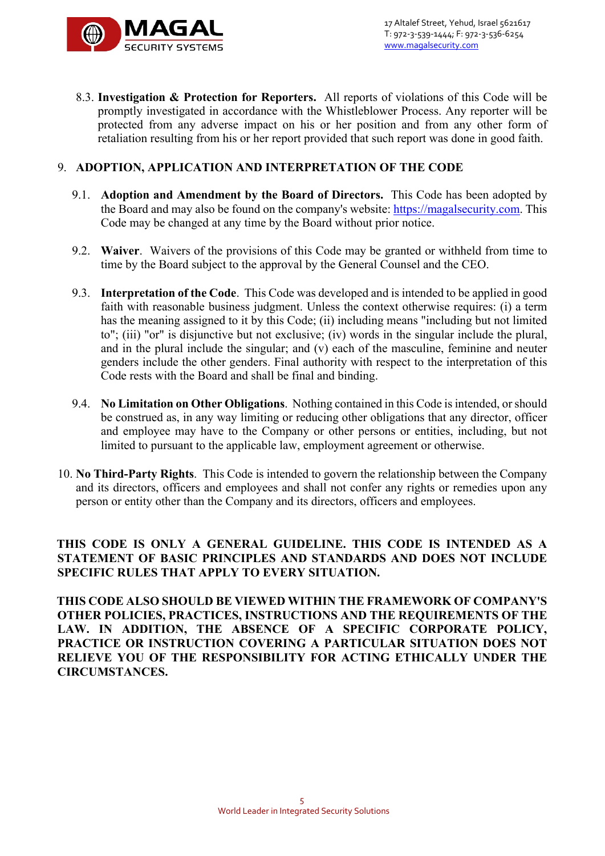

8.3. **Investigation & Protection for Reporters.** All reports of violations of this Code will be promptly investigated in accordance with the Whistleblower Process. Any reporter will be protected from any adverse impact on his or her position and from any other form of retaliation resulting from his or her report provided that such report was done in good faith.

#### 9. **ADOPTION, APPLICATION AND INTERPRETATION OF THE CODE**

- 9.1. **Adoption and Amendment by the Board of Directors.** This Code has been adopted by the Board and may also be found on the company's website: https://magalsecurity.com. This Code may be changed at any time by the Board without prior notice.
- 9.2. **Waiver**. Waivers of the provisions of this Code may be granted or withheld from time to time by the Board subject to the approval by the General Counsel and the CEO.
- 9.3. **Interpretation of the Code**. This Code was developed and is intended to be applied in good faith with reasonable business judgment. Unless the context otherwise requires: (i) a term has the meaning assigned to it by this Code; (ii) including means "including but not limited to"; (iii) "or" is disjunctive but not exclusive; (iv) words in the singular include the plural, and in the plural include the singular; and (v) each of the masculine, feminine and neuter genders include the other genders. Final authority with respect to the interpretation of this Code rests with the Board and shall be final and binding.
- 9.4. **No Limitation on Other Obligations**. Nothing contained in this Code is intended, or should be construed as, in any way limiting or reducing other obligations that any director, officer and employee may have to the Company or other persons or entities, including, but not limited to pursuant to the applicable law, employment agreement or otherwise.
- 10. **No Third-Party Rights**. This Code is intended to govern the relationship between the Company and its directors, officers and employees and shall not confer any rights or remedies upon any person or entity other than the Company and its directors, officers and employees.

### **THIS CODE IS ONLY A GENERAL GUIDELINE. THIS CODE IS INTENDED AS A STATEMENT OF BASIC PRINCIPLES AND STANDARDS AND DOES NOT INCLUDE SPECIFIC RULES THAT APPLY TO EVERY SITUATION.**

**THIS CODE ALSO SHOULD BE VIEWED WITHIN THE FRAMEWORK OF COMPANY'S OTHER POLICIES, PRACTICES, INSTRUCTIONS AND THE REQUIREMENTS OF THE LAW. IN ADDITION, THE ABSENCE OF A SPECIFIC CORPORATE POLICY, PRACTICE OR INSTRUCTION COVERING A PARTICULAR SITUATION DOES NOT RELIEVE YOU OF THE RESPONSIBILITY FOR ACTING ETHICALLY UNDER THE CIRCUMSTANCES.**